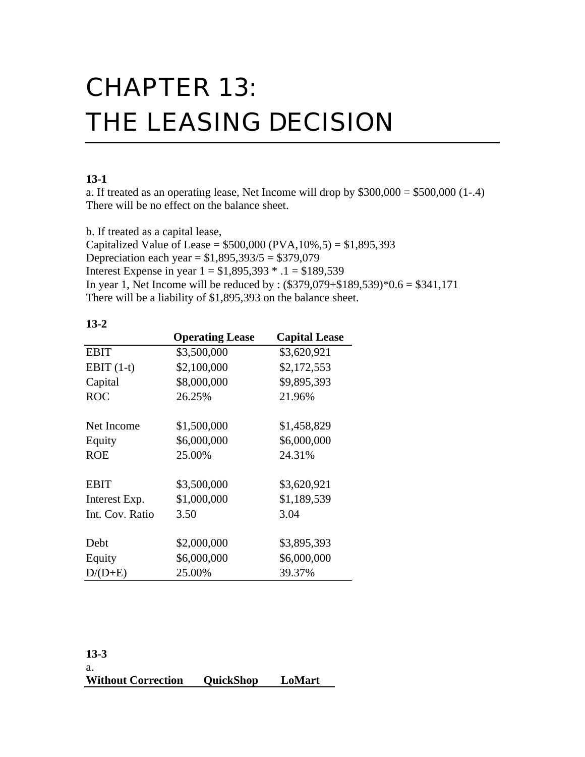# CHAPTER 13: THE LEASING DECISION

# **13-1**

a. If treated as an operating lease, Net Income will drop by  $$300,000 = $500,000$  (1-.4) There will be no effect on the balance sheet.

b. If treated as a capital lease,

Capitalized Value of Lease =  $$500,000$  (PVA,10%,5) = \$1,895,393 Depreciation each year =  $$1,895,393/5 = $379,079$ Interest Expense in year  $1 = $1,895,393 * .1 = $189,539$ In year 1, Net Income will be reduced by :  $(\$379,079 + \$189,539)*0.6 = \$341,171$ There will be a liability of \$1,895,393 on the balance sheet.

|                 | <b>Operating Lease</b> | <b>Capital Lease</b> |
|-----------------|------------------------|----------------------|
| <b>EBIT</b>     | \$3,500,000            | \$3,620,921          |
| EBIT $(1-t)$    | \$2,100,000            | \$2,172,553          |
| Capital         | \$8,000,000            | \$9,895,393          |
| <b>ROC</b>      | 26.25%                 | 21.96%               |
| Net Income      | \$1,500,000            | \$1,458,829          |
| Equity          | \$6,000,000            | \$6,000,000          |
| <b>ROE</b>      | 25.00%                 | 24.31%               |
| <b>EBIT</b>     | \$3,500,000            | \$3,620,921          |
| Interest Exp.   | \$1,000,000            | \$1,189,539          |
| Int. Cov. Ratio | 3.50                   | 3.04                 |
| Debt            | \$2,000,000            | \$3,895,393          |
| Equity          | \$6,000,000            | \$6,000,000          |
| $D/(D+E)$       | 25.00%                 | 39.37%               |

**13-2**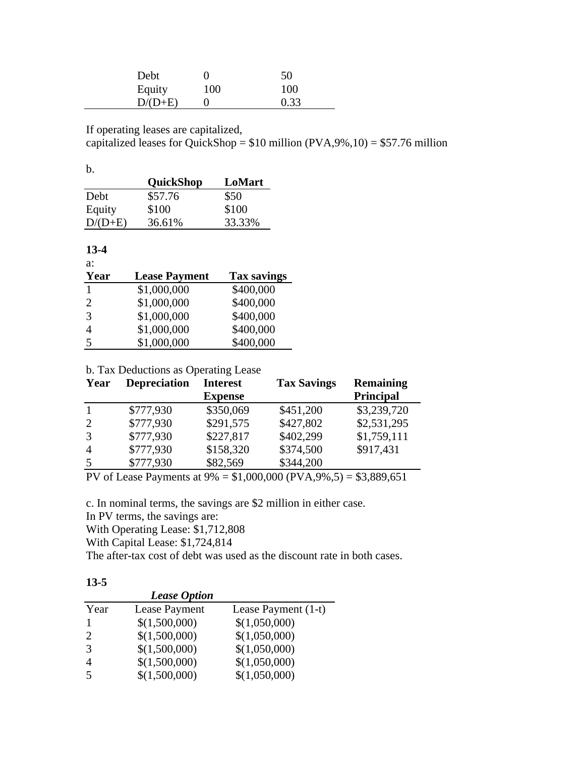| Debt      |     | 50   |
|-----------|-----|------|
| Equity    | 100 | 100  |
| $D/(D+E)$ |     | 0.33 |

If operating leases are capitalized,

capitalized leases for QuickShop =  $$10$  million (PVA,9%,10) =  $$57.76$  million

b.

|           | <b>QuickShop</b> | LoMart |
|-----------|------------------|--------|
| Debt      | \$57.76          | \$50   |
| Equity    | \$100            | \$100  |
| $D/(D+E)$ | 36.61%           | 33.33% |

**13-4**

| a:                          |                      |                    |
|-----------------------------|----------------------|--------------------|
| Year                        | <b>Lease Payment</b> | <b>Tax savings</b> |
| 1                           | \$1,000,000          | \$400,000          |
| $\mathcal{D}_{\mathcal{L}}$ | \$1,000,000          | \$400,000          |
| $\mathcal{R}$               | \$1,000,000          | \$400,000          |
|                             | \$1,000,000          | \$400,000          |
| 5                           | \$1,000,000          | \$400,000          |

## b. Tax Deductions as Operating Lease

| Year           | <b>Depreciation</b> | <b>Interest</b> | <b>Tax Savings</b> | <b>Remaining</b> |
|----------------|---------------------|-----------------|--------------------|------------------|
|                |                     | <b>Expense</b>  |                    | <b>Principal</b> |
|                | \$777,930           | \$350,069       | \$451,200          | \$3,239,720      |
| 2              | \$777,930           | \$291,575       | \$427,802          | \$2,531,295      |
| 3              | \$777,930           | \$227,817       | \$402,299          | \$1,759,111      |
| $\overline{4}$ | \$777,930           | \$158,320       | \$374,500          | \$917,431        |
| 5              | \$777,930           | \$82,569        | \$344,200          |                  |

PV of Lease Payments at 9% = \$1,000,000 (PVA,9%,5) = \$3,889,651

c. In nominal terms, the savings are \$2 million in either case.

In PV terms, the savings are:

With Operating Lease: \$1,712,808

With Capital Lease: \$1,724,814

The after-tax cost of debt was used as the discount rate in both cases.

| ×<br>۰.<br>۰.<br>×<br>., |
|--------------------------|
|--------------------------|

|      | <b>Lease Option</b> |                     |
|------|---------------------|---------------------|
| Year | Lease Payment       | Lease Payment (1-t) |
|      | \$(1,500,000)       | \$(1,050,000)       |
| 2    | \$(1,500,000)       | \$(1,050,000)       |
| 3    | \$(1,500,000)       | \$(1,050,000)       |
| 4    | \$(1,500,000)       | \$(1,050,000)       |
| 5    | \$(1,500,000)       | \$(1,050,000)       |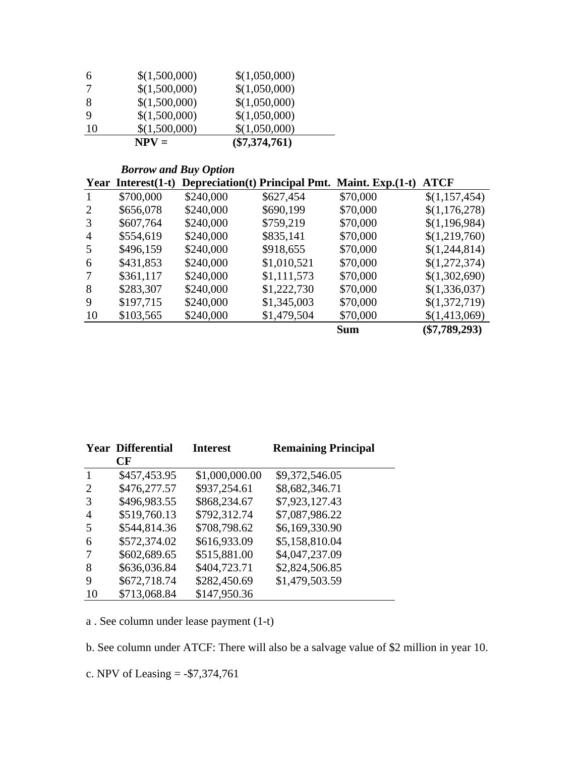|    | $NPV =$       | $(\$7,374,761)$ |
|----|---------------|-----------------|
| 10 | \$(1,500,000) | \$(1,050,000)   |
| 9  | \$(1,500,000) | \$(1,050,000)   |
| 8  | \$(1,500,000) | \$(1,050,000)   |
|    | \$(1,500,000) | \$(1,050,000)   |
| 6  | \$(1,500,000) | \$(1,050,000)   |

#### *Borrow and Buy Option* **Year Interest(1-t) Depreciation(t) Principal Pmt. Maint. Exp.(1-t) ATCF**

 $\overline{\phantom{a}}$ 

| 1              | \$700,000 | \$240,000 | \$627,454   | \$70,000   | \$(1,157,454)   |
|----------------|-----------|-----------|-------------|------------|-----------------|
| 2              | \$656,078 | \$240,000 | \$690,199   | \$70,000   | \$(1,176,278)   |
| 3              | \$607,764 | \$240,000 | \$759,219   | \$70,000   | \$(1,196,984)   |
| $\overline{4}$ | \$554,619 | \$240,000 | \$835,141   | \$70,000   | \$(1,219,760)   |
| 5              | \$496,159 | \$240,000 | \$918,655   | \$70,000   | \$(1,244,814)   |
| 6              | \$431,853 | \$240,000 | \$1,010,521 | \$70,000   | \$(1,272,374)   |
| 7              | \$361,117 | \$240,000 | \$1,111,573 | \$70,000   | \$(1,302,690)   |
| 8              | \$283,307 | \$240,000 | \$1,222,730 | \$70,000   | \$(1,336,037)   |
| 9              | \$197,715 | \$240,000 | \$1,345,003 | \$70,000   | \$(1,372,719)   |
| 10             | \$103,565 | \$240,000 | \$1,479,504 | \$70,000   | \$(1,413,069)   |
|                |           |           |             | <b>Sum</b> | $(\$7,789,293)$ |
|                |           |           |             |            |                 |

|                | <b>Year Differential</b> | <b>Interest</b> | <b>Remaining Principal</b> |
|----------------|--------------------------|-----------------|----------------------------|
|                | CF                       |                 |                            |
| $\mathbf{1}$   | \$457,453.95             | \$1,000,000.00  | \$9,372,546.05             |
| 2              | \$476,277.57             | \$937,254.61    | \$8,682,346.71             |
| 3              | \$496,983.55             | \$868,234.67    | \$7,923,127.43             |
| $\overline{4}$ | \$519,760.13             | \$792,312.74    | \$7,087,986.22             |
| .5             | \$544,814.36             | \$708,798.62    | \$6,169,330.90             |
| 6              | \$572,374.02             | \$616,933.09    | \$5,158,810.04             |
| 7              | \$602,689.65             | \$515,881.00    | \$4,047,237.09             |
| 8              | \$636,036.84             | \$404,723.71    | \$2,824,506.85             |
| 9              | \$672,718.74             | \$282,450.69    | \$1,479,503.59             |
| 10             | \$713,068.84             | \$147,950.36    |                            |

a . See column under lease payment (1-t)

b. See column under ATCF: There will also be a salvage value of \$2 million in year 10.

c. NPV of Leasing = -\$7,374,761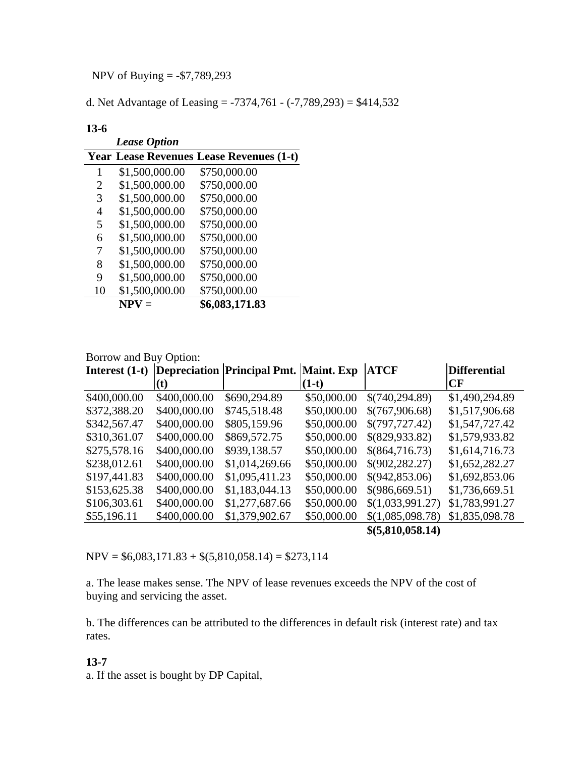NPV of Buying = -\$7,789,293

d. Net Advantage of Leasing = -7374,761 - (-7,789,293) = \$414,532

#### **13-6**

|    | <b>Lease Option</b> |                                                 |
|----|---------------------|-------------------------------------------------|
|    |                     | <b>Year Lease Revenues Lease Revenues (1-t)</b> |
| 1  | \$1,500,000.00      | \$750,000.00                                    |
| 2  | \$1,500,000.00      | \$750,000.00                                    |
| 3  | \$1,500,000.00      | \$750,000.00                                    |
| 4  | \$1,500,000.00      | \$750,000.00                                    |
| 5  | \$1,500,000.00      | \$750,000.00                                    |
| 6  | \$1,500,000.00      | \$750,000.00                                    |
| 7  | \$1,500,000.00      | \$750,000.00                                    |
| 8  | \$1,500,000.00      | \$750,000.00                                    |
| 9  | \$1,500,000.00      | \$750,000.00                                    |
| 10 | \$1,500,000.00      | \$750,000.00                                    |
|    | $NPV =$             | \$6,083,171.83                                  |

#### Borrow and Buy Option:

| Interest $(1-t)$ |              | Depreciation Principal Pmt. Maint. Exp |             | <b>ATCF</b>       | <b>Differential</b> |
|------------------|--------------|----------------------------------------|-------------|-------------------|---------------------|
|                  | (t)          |                                        | $(1-t)$     |                   | <b>CF</b>           |
| \$400,000.00     | \$400,000.00 | \$690,294.89                           | \$50,000.00 | \$(740, 294.89)   | \$1,490,294.89      |
| \$372,388.20     | \$400,000.00 | \$745,518.48                           | \$50,000.00 | \$(767,906.68)    | \$1,517,906.68      |
| \$342,567.47     | \$400,000.00 | \$805,159.96                           | \$50,000.00 | \$(797,727.42)    | \$1,547,727.42      |
| \$310,361.07     | \$400,000.00 | \$869,572.75                           | \$50,000.00 | \$(829,933.82)    | \$1,579,933.82      |
| \$275,578.16     | \$400,000.00 | \$939,138.57                           | \$50,000.00 | \$(864,716.73)    | \$1,614,716.73      |
| \$238,012.61     | \$400,000.00 | \$1,014,269.66                         | \$50,000.00 | \$(902, 282.27)   | \$1,652,282.27      |
| \$197,441.83     | \$400,000.00 | \$1,095,411.23                         | \$50,000.00 | \$(942,853.06)    | \$1,692,853.06      |
| \$153,625.38     | \$400,000.00 | \$1,183,044.13                         | \$50,000.00 | \$(986,669.51)    | \$1,736,669.51      |
| \$106,303.61     | \$400,000.00 | \$1,277,687.66                         | \$50,000.00 | \$(1,033,991.27)  | \$1,783,991.27      |
| \$55,196.11      | \$400,000.00 | \$1,379,902.67                         | \$50,000.00 | \$(1,085,098.78)  | \$1,835,098.78      |
|                  |              |                                        |             | \$ (5,810,058.14) |                     |

 $NPV = $6,083,171.83 + $(5,810,058.14) = $273,114$ 

a. The lease makes sense. The NPV of lease revenues exceeds the NPV of the cost of buying and servicing the asset.

b. The differences can be attributed to the differences in default risk (interest rate) and tax rates.

#### **13-7**

a. If the asset is bought by DP Capital,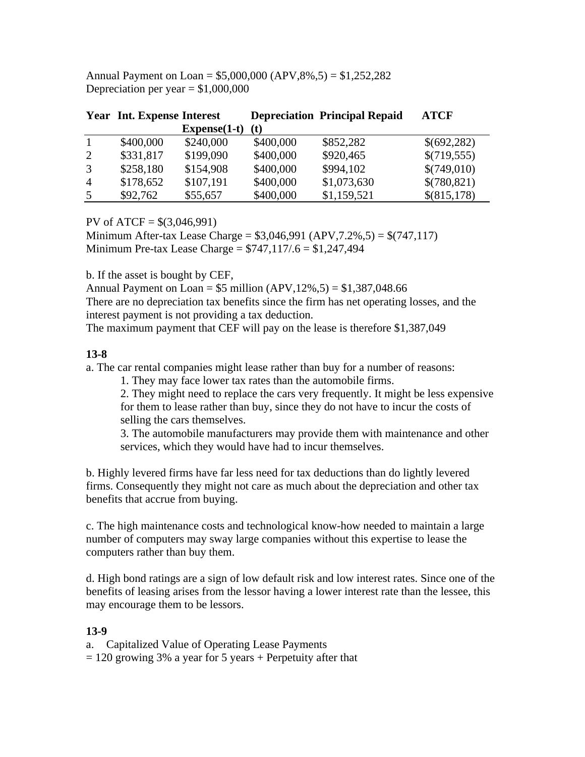Annual Payment on Loan = \$5,000,000 (APV,8%,5) = \$1,252,282 Depreciation per year  $= $1,000,000$ 

|                | <b>Year Int. Expense Interest</b> |                |           | <b>Depreciation Principal Repaid</b> | <b>ATCF</b> |
|----------------|-----------------------------------|----------------|-----------|--------------------------------------|-------------|
|                |                                   | $Express(1-t)$ | (t)       |                                      |             |
| 1              | \$400,000                         | \$240,000      | \$400,000 | \$852,282                            | \$(692,282) |
| 2              | \$331,817                         | \$199,090      | \$400,000 | \$920,465                            | \$(719,555) |
| 3              | \$258,180                         | \$154,908      | \$400,000 | \$994,102                            | \$(749,010) |
| $\overline{4}$ | \$178,652                         | \$107,191      | \$400,000 | \$1,073,630                          | \$(780,821) |
| 5              | \$92,762                          | \$55,657       | \$400,000 | \$1,159,521                          | \$(815,178) |

PV of  $ATCF = $(3,046,991)$ 

Minimum After-tax Lease Charge = \$3,046,991 (APV,7.2%,5) = \$(747,117) Minimum Pre-tax Lease Charge =  $$747,117/6 = $1,247,494$ 

b. If the asset is bought by CEF,

Annual Payment on Loan =  $$5$  million (APV, 12\%, 5) =  $$1,387,048.66$ There are no depreciation tax benefits since the firm has net operating losses, and the interest payment is not providing a tax deduction.

The maximum payment that CEF will pay on the lease is therefore \$1,387,049

#### **13-8**

a. The car rental companies might lease rather than buy for a number of reasons:

1. They may face lower tax rates than the automobile firms.

2. They might need to replace the cars very frequently. It might be less expensive for them to lease rather than buy, since they do not have to incur the costs of selling the cars themselves.

3. The automobile manufacturers may provide them with maintenance and other services, which they would have had to incur themselves.

b. Highly levered firms have far less need for tax deductions than do lightly levered firms. Consequently they might not care as much about the depreciation and other tax benefits that accrue from buying.

c. The high maintenance costs and technological know-how needed to maintain a large number of computers may sway large companies without this expertise to lease the computers rather than buy them.

d. High bond ratings are a sign of low default risk and low interest rates. Since one of the benefits of leasing arises from the lessor having a lower interest rate than the lessee, this may encourage them to be lessors.

#### **13-9**

a. Capitalized Value of Operating Lease Payments  $= 120$  growing 3% a year for 5 years + Perpetuity after that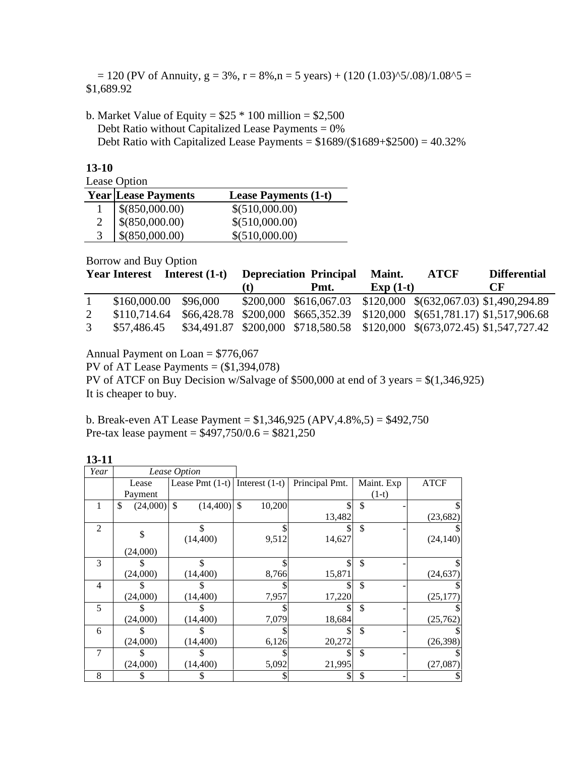$= 120$  (PV of Annuity,  $g = 3\%$ ,  $r = 8\%$ ,  $n = 5$  years) + (120 (1.03)^5/.08)/1.08^5 = \$1,689.92

b. Market Value of Equity =  $$25 * 100$  million =  $$2,500$ Debt Ratio without Capitalized Lease Payments =  $0\%$ Debt Ratio with Capitalized Lease Payments =  $$1689/($1689+$2500) = 40.32\%$ 

| × | ۰. | ×<br>۰, |
|---|----|---------|
|   |    |         |

Lease Option

| Lease Option               |                             |
|----------------------------|-----------------------------|
| <b>Year Lease Payments</b> | <b>Lease Payments (1-t)</b> |
| \$(850,000.00)             | \$(510,000.00)              |
| \$(850,000.00)             | \$(510,000.00)              |
| \$(850,000.00)             | \$ (510,000.00)             |

Borrow and Buy Option

| <b>Year Interest</b> | Interest (1-t) |    | <b>Depreciation Principal</b> | <b>Maint.</b> | <b>ATCF</b> | <b>Differential</b>                                                        |
|----------------------|----------------|----|-------------------------------|---------------|-------------|----------------------------------------------------------------------------|
|                      |                | t) | Pmt.                          | $Exp(1-t)$    |             | $\bf C$ F                                                                  |
| \$160,000.00         | \$96,000       |    |                               |               |             | \$200,000 \$616,067.03 \$120,000 \$(632,067.03) \$1,490,294.89             |
| \$110,714.64         |                |    |                               |               |             | \$66,428.78 \$200,000 \$665,352.39 \$120,000 \$(651,781.17) \$1,517,906.68 |
| \$57,486.45          |                |    |                               |               |             | \$34,491.87 \$200,000 \$718,580.58 \$120,000 \$(673,072.45) \$1,547,727.42 |

Annual Payment on Loan = \$776,067

PV of AT Lease Payments  $= (\$1,394,078)$ PV of ATCF on Buy Decision w/Salvage of \$500,000 at end of 3 years = \$(1,346,925) It is cheaper to buy.

b. Break-even AT Lease Payment = \$1,346,925 (APV,4.8%,5) = \$492,750 Pre-tax lease payment =  $$497,750/0.6 = $821,250$ 

| Year           |                | Lease Option                       |        |                |            |             |
|----------------|----------------|------------------------------------|--------|----------------|------------|-------------|
|                | Lease          | Lease Pmt $(1-t)$ Interest $(1-t)$ |        | Principal Pmt. | Maint. Exp | <b>ATCF</b> |
|                | Payment        |                                    |        |                | $(1-t)$    |             |
|                | \$<br>(24,000) | \$.<br>$(14,400)$ \$               | 10,200 |                | \$         | S           |
|                |                |                                    |        | 13,482         |            | (23, 682)   |
| $\overline{2}$ | \$             |                                    |        |                | \$         |             |
|                |                | (14, 400)                          | 9,512  | 14,627         |            | (24, 140)   |
|                | (24,000)       |                                    |        |                |            |             |
| 3              |                |                                    |        |                | \$         | \$          |
|                | (24,000)       | (14, 400)                          | 8,766  | 15,871         |            | (24, 637)   |
| $\overline{4}$ |                |                                    |        |                | \$         |             |
|                | (24,000)       | (14, 400)                          | 7,957  | 17,220         |            | (25, 177)   |
| 5              |                |                                    |        |                | \$         |             |
|                | (24,000)       | (14, 400)                          | 7,079  | 18,684         |            | (25,762)    |
| 6              |                |                                    |        |                | \$         |             |
|                | (24,000)       | (14, 400)                          | 6,126  | 20,272         |            | (26, 398)   |
| 7              |                |                                    |        |                | \$         |             |
|                | (24,000)       | (14, 400)                          | 5,092  | 21,995         |            | (27,087)    |
| 8              |                |                                    |        |                | \$         | S           |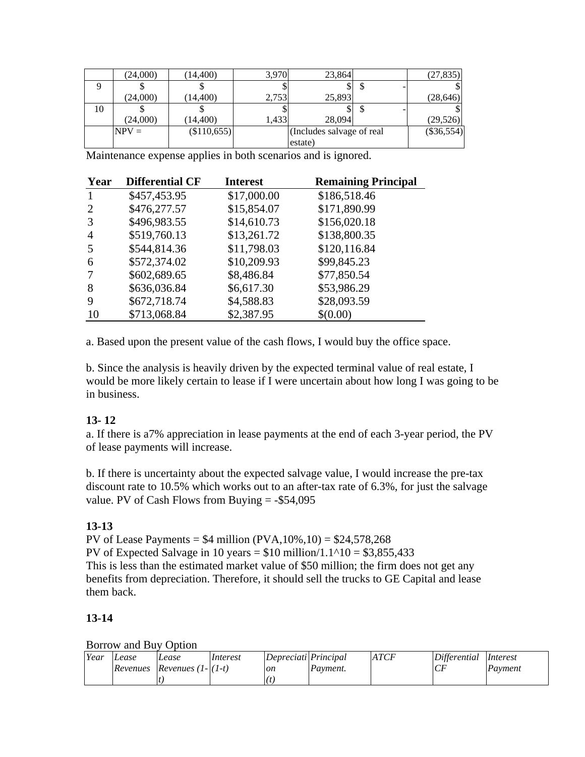|    | (24,000) | (14, 400)          | 3,970 | 23,864                     | (27, 835)    |
|----|----------|--------------------|-------|----------------------------|--------------|
|    |          |                    |       |                            |              |
|    | (24,000) | (14, 400)          | 2,753 | 25,893                     | (28, 646)    |
| 10 |          |                    |       |                            |              |
|    | (24,000) | (14, 400)          | 1,433 | 28,094                     | (29,526)     |
|    | $NPV =$  | $($ \$110,655) $ $ |       | (Includes salvage of real) | $(\$36,554)$ |
|    |          |                    |       | estate)                    |              |

Maintenance expense applies in both scenarios and is ignored.

| Year           | <b>Differential CF</b> | <b>Interest</b> | <b>Remaining Principal</b> |
|----------------|------------------------|-----------------|----------------------------|
| $\mathbf{1}$   | \$457,453.95           | \$17,000.00     | \$186,518.46               |
| 2              | \$476,277.57           | \$15,854.07     | \$171,890.99               |
| 3              | \$496,983.55           | \$14,610.73     | \$156,020.18               |
| $\overline{4}$ | \$519,760.13           | \$13,261.72     | \$138,800.35               |
| 5              | \$544,814.36           | \$11,798.03     | \$120,116.84               |
| 6              | \$572,374.02           | \$10,209.93     | \$99,845.23                |
|                | \$602,689.65           | \$8,486.84      | \$77,850.54                |
| 8              | \$636,036.84           | \$6,617.30      | \$53,986.29                |
| 9              | \$672,718.74           | \$4,588.83      | \$28,093.59                |
| 10             | \$713,068.84           | \$2,387.95      | \$(0.00)                   |

a. Based upon the present value of the cash flows, I would buy the office space.

b. Since the analysis is heavily driven by the expected terminal value of real estate, I would be more likely certain to lease if I were uncertain about how long I was going to be in business.

# **13- 12**

a. If there is a7% appreciation in lease payments at the end of each 3-year period, the PV of lease payments will increase.

b. If there is uncertainty about the expected salvage value, I would increase the pre-tax discount rate to 10.5% which works out to an after-tax rate of 6.3%, for just the salvage value. PV of Cash Flows from Buying  $= -\$54,095$ 

# **13-13**

PV of Lease Payments =  $$4$  million (PVA,  $10\%$ ,  $10$ ) =  $$24$ ,  $578$ ,  $268$ PV of Expected Salvage in 10 years =  $$10$  million/1.1^10 =  $$3,855,433$ This is less than the estimated market value of \$50 million; the firm does not get any benefits from depreciation. Therefore, it should sell the trucks to GE Capital and lease them back.

## **13-14**

#### Borrow and Buy Option

| Year | Lease    | Lease                    | Interest | Depreciati Principal |          | ATCF | Differential | Interest |
|------|----------|--------------------------|----------|----------------------|----------|------|--------------|----------|
|      | Revenues | Revenues $(1 -  (1-t) )$ |          | on                   | Payment. |      | ◡            | Payment  |
|      |          |                          |          |                      |          |      |              |          |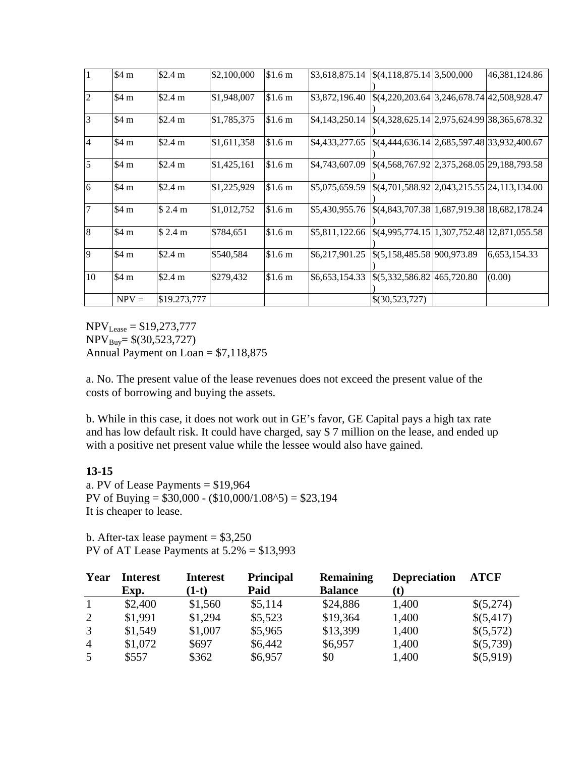| 1                | \$4 m   | \$2.4 m      | \$2,100,000 | \$1.6 <sub>m</sub> |                | $$3,618,875.14$ $$(4,118,875.14)$ $$3,500,000$                                                    | 46, 381, 124.86 |
|------------------|---------|--------------|-------------|--------------------|----------------|---------------------------------------------------------------------------------------------------|-----------------|
| $\overline{2}$   | \$4 m   | \$2.4 m      | \$1,948,007 | \$1.6 <sub>m</sub> | \$3,872,196.40 | \$(4,220,203.64 3,246,678.74 42,508,928.47                                                        |                 |
| 3                | \$4 m   | \$2.4 m      | \$1,785,375 | \$1.6 <sub>m</sub> | \$4,143,250.14 | $\frac{$(4,328,625.14 \vert 2,975,624.99 \vert 38,365,678.32)}{2,975,624.99 \vert 38,365,678.32}$ |                 |
| $\overline{4}$   | \$4 m   | \$2.4 m      | \$1,611,358 | \$1.6 <sub>m</sub> | \$4,433,277.65 | \$(4,444,636.14   2,685,597.48   33,932,400.67                                                    |                 |
| 5                | \$4 m   | \$2.4 m      | \$1,425,161 | \$1.6 m            | \$4,743,607.09 | \$(4,568,767.92 2,375,268.05 29,188,793.58                                                        |                 |
| 6                | \$4 m   | \$2.4 m      | \$1,225,929 | \$1.6 <sub>m</sub> | \$5,075,659.59 | $\frac{1}{6}(4,701,588.92)$ 2,043,215.55 24,113,134.00                                            |                 |
| $\overline{7}$   | \$4 m   | \$2.4 m      | \$1,012,752 | \$1.6 <sub>m</sub> | \$5,430,955.76 | \$(4,843,707.38   1,687,919.38   18,682,178.24                                                    |                 |
| $\boldsymbol{8}$ | \$4 m   | \$2.4 m      | \$784,651   | \$1.6 <sub>m</sub> |                | \$5,811,122.66 \\$(4,995,774.15\ 1,307,752.48\ 12,871,055.58                                      |                 |
| 9                | \$4 m   | \$2.4 m      | \$540,584   | \$1.6 <sub>m</sub> | \$6,217,901.25 | \$(5,158,485.58 900,973.89                                                                        | 6,653,154.33    |
| 10               | \$4 m   | \$2.4 m      | \$279,432   | \$1.6 <sub>m</sub> | \$6,653,154.33 | $\frac{1}{5,332,586.82}$ 465,720.80                                                               | (0.00)          |
|                  | $NPV =$ | \$19.273,777 |             |                    |                | \$(30,523,727)                                                                                    |                 |

 $NPV_{\text{Lease}} = $19,273,777$  $NPV_{Buv} = $(30,523,727)$ Annual Payment on Loan = \$7,118,875

a. No. The present value of the lease revenues does not exceed the present value of the costs of borrowing and buying the assets.

b. While in this case, it does not work out in GE's favor, GE Capital pays a high tax rate and has low default risk. It could have charged, say \$ 7 million on the lease, and ended up with a positive net present value while the lessee would also have gained.

#### **13-15**

a. PV of Lease Payments = \$19,964 PV of Buying =  $$30,000 - (10,000/1.08<sup>1</sup>)(5) = $23,194$ It is cheaper to lease.

b. After-tax lease payment  $= $3,250$ PV of AT Lease Payments at 5.2% = \$13,993

| Year           | <b>Interest</b><br>Exp. | <b>Interest</b><br>$(1-t)$ | <b>Principal</b><br>Paid | <b>Remaining</b><br><b>Balance</b> | <b>Depreciation</b><br>(t) | <b>ATCF</b> |
|----------------|-------------------------|----------------------------|--------------------------|------------------------------------|----------------------------|-------------|
| $\mathbf{1}$   | \$2,400                 | \$1,560                    | \$5,114                  | \$24,886                           | 1,400                      | \$(5,274)   |
| 2              | \$1,991                 | \$1,294                    | \$5,523                  | \$19,364                           | 1,400                      | \$(5,417)   |
| 3              | \$1,549                 | \$1,007                    | \$5,965                  | \$13,399                           | 1,400                      | \$(5,572)   |
| $\overline{4}$ | \$1,072                 | \$697                      | \$6,442                  | \$6,957                            | 1,400                      | \$(5,739)   |
| 5              | \$557                   | \$362                      | \$6,957                  | \$0                                | 1,400                      | \$(5,919)   |